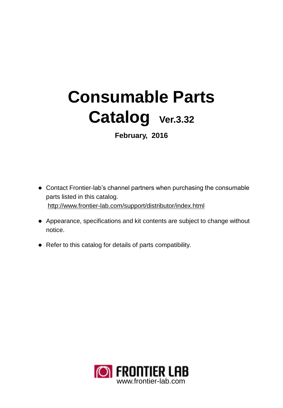# **Consumable Parts Catalog Ver.3.32**

**February, 2016**

- Contact Frontier-lab's channel partners when purchasing the consumable parts listed in this catalog. <http://www.frontier-lab.com/support/distributor/index.html>
- Appearance, specifications and kit contents are subject to change without notice.
- Refer to this catalog for details of parts compatibility.

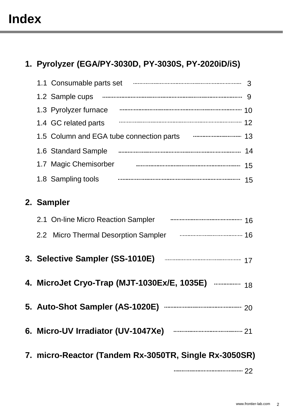# **Index**

## **1. Pyrolyzer (EGA/PY-3030D, PY-3030S, PY-2020iD/iS)**

| 1.1 Consumable parts set                                      | 3  |
|---------------------------------------------------------------|----|
| 1.2 Sample cups                                               | 9  |
| 1.3 Pyrolyzer furnace                                         |    |
| 1.4 GC related parts                                          | 12 |
| 1.5 Column and EGA tube connection parts www.communication 13 |    |
|                                                               |    |
| 1.7 Magic Chemisorber                                         | 15 |
| 1.8 Sampling tools                                            | 15 |
| 2. Sampler                                                    |    |
| 2.1 On-line Micro Reaction Sampler                            | 16 |
| 2.2 Micro Thermal Desorption Sampler                          |    |

- **3. Selective Sampler (SS-1010E)**  17
- **4. MicroJet Cryo-Trap (MJT-1030Ex/E, 1035E)**  18
- **5. Auto-Shot Sampler (AS-1020E)** 20
- **6. Micro-UV Irradiator (UV-1047Xe)** 21
	- **7. micro-Reactor (Tandem Rx-3050TR, Single Rx-3050SR)**

22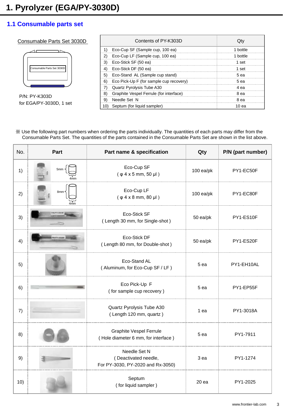#### Consumable Parts Set 3030D



P/N: PY-K303D for EGA/PY-3030D, 1 set

|    | Contents of PY-K303D                    |          |
|----|-----------------------------------------|----------|
|    | Eco-Cup SF (Sample cup, 100 ea)         | hottle   |
|    | Eco-Cup LF (Sample cup, 100 ea)         | 1 bottle |
|    | Eco-Stick SF (50 ea)                    | 1 set    |
|    | Eco-Stick DF (50 ea)                    | 1 set    |
| 5) | Eco-Stand AL (Sample cup stand)         | .5 ea    |
| 6) | Eco Pick-Up F (for sample cup recovery) | .5 ea    |
|    | Quartz Pyrolysis Tube A30               | eа       |
|    | Graphite Vespel Ferrule (for interface) | eа       |
|    | Needle Set N                            | 8 ea     |
|    | Septum (for liquid sampler)             | 10 ea    |

| No. | Part      | Part name & specification                                                 | Qty         | P/N (part number) |
|-----|-----------|---------------------------------------------------------------------------|-------------|-------------------|
| 1)  | 5mm       | Eco-Cup SF<br>$(\varphi$ 4 x 5 mm, 50 µl)                                 | $100$ ea/pk | PY1-EC50F         |
| 2)  | 8mm       | Eco-Cup LF<br>$(\varphi 4 x 8 mm, 80 \mu)$                                | $100$ ea/pk | PY1-EC80F         |
| 3)  |           | Eco-Stick SF<br>(Length 30 mm, for Single-shot)                           | 50 ea/pk    | PY1-ES10F         |
| 4)  | NYTLANING | Eco-Stick DF<br>(Length 80 mm, for Double-shot)                           | 50 ea/pk    | PY1-ES20F         |
| 5)  |           | Eco-Stand AL<br>(Aluminum, for Eco-Cup SF / LF)                           | 5 ea        | PY1-EH10AL        |
| 6)  |           | Eco Pick-Up F<br>(for sample cup recovery)                                | 5 ea        | PY1-EP55F         |
| 7)  |           | Quartz Pyrolysis Tube A30<br>(Length 120 mm, quartz)                      | 1 ea        | PY1-3018A         |
| 8)  |           | <b>Graphite Vespel Ferrule</b><br>(Hole diameter 6 mm, for interface)     | 5 ea        | PY1-7911          |
| 9)  |           | Needle Set N<br>(Deactivated needle,<br>For PY-3030, PY-2020 and Rx-3050) | 3 ea        | PY1-1274          |
| 10) |           | Septum<br>(for liquid sampler)                                            | 20ea        | PY1-2025          |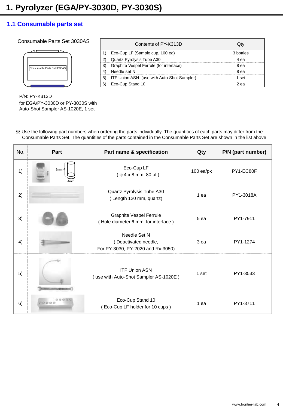#### Consumable Parts Set 3030AS

| Consumable Parts Set 3030AS |  |
|-----------------------------|--|
|                             |  |
|                             |  |

| Contents of PY-K313D                       |      |
|--------------------------------------------|------|
| Eco-Cup LF (Sample cup, 100 ea)            |      |
| Quartz Pyrolysis Tube A30                  | AЯ   |
| Graphite Vespel Ferrule (for interface)    | 8 еа |
| Needle set N                               | 8 ea |
| ITF Union ASN (use with Auto-Shot Sampler) | set  |
| Eco-Cup Stand 10                           | еa   |

P/N: PY-K313D for EGA/PY-3030D or PY-3030S with Auto-Shot Sampler AS-1020E, 1 set

| No. | Part                                             | Part name & specification                                                 | Qty             | P/N (part number) |
|-----|--------------------------------------------------|---------------------------------------------------------------------------|-----------------|-------------------|
| 1)  | 8mm <sup>&lt;</sup>                              | Eco-Cup LF<br>$(\varphi 4 \times 8 \text{ mm}, 80 \text{ µ})$             | $100$ ea/pk     | PY1-EC80F         |
| 2)  |                                                  | Quartz Pyrolysis Tube A30<br>(Length 120 mm, quartz)                      | 1 ea            | PY1-3018A         |
| 3)  |                                                  | <b>Graphite Vespel Ferrule</b><br>(Hole diameter 6 mm, for interface)     | 5 ea            | PY1-7911          |
| 4)  |                                                  | Needle Set N<br>(Deactivated needle,<br>For PY-3030, PY-2020 and Rx-3050) | 3 <sub>ea</sub> | PY1-1274          |
| 5)  |                                                  | <b>ITF Union ASN</b><br>(use with Auto-Shot Sampler AS-1020E)             | 1 set           | PY1-3533          |
| 6)  | $Q_2$ $Q_3$ $Q_4$ $Q_5$<br>$T(3, 4)$ (3 $(3, 6)$ | Eco-Cup Stand 10<br>(Eco-Cup LF holder for 10 cups)                       | 1 ea            | PY1-3711          |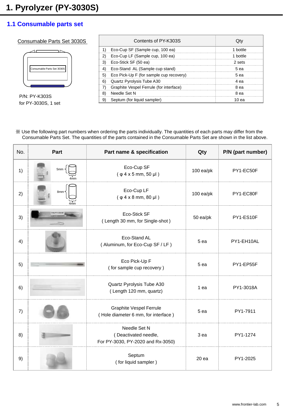#### Consumable Parts Set 3030S



P/N: PY-K303S for PY-3030S, 1 set

|   | Contents of PY-K303S                    |        |
|---|-----------------------------------------|--------|
|   | Eco-Cup SF (Sample cup, 100 ea)         | hottle |
|   | Eco-Cup LF (Sample cup, 100 ea)         | hottle |
|   | Eco-Stick SF (50 ea)                    | 2 sets |
|   | Eco-Stand AL (Sample cup stand)         | 5 ea   |
|   | Eco Pick-Up F (for sample cup recovery) | 5 еа   |
| 6 | Quartz Pyrolysis Tube A30               | 1 е а  |
|   | Graphite Vespel Ferrule (for interface) | eа     |
|   | Needle Set N                            | 8 ea   |
|   | Septum (for liquid sampler)             | 0 ea   |

| No. | Part | Part name & specification                                                 | Qty         | P/N (part number) |
|-----|------|---------------------------------------------------------------------------|-------------|-------------------|
| 1)  | 5mm  | Eco-Cup SF<br>$(\varphi 4 x 5 mm, 50 \mu)$                                | $100$ ea/pk | PY1-EC50F         |
| 2)  | 8mm- | Eco-Cup LF<br>$(\varphi 4 x 8 mm, 80 \mu l)$                              | $100$ ea/pk | PY1-EC80F         |
| 3)  |      | Eco-Stick SF<br>(Length 30 mm, for Single-shot)                           | 50 ea/pk    | PY1-ES10F         |
| 4)  |      | Eco-Stand AL<br>(Aluminum, for Eco-Cup SF / LF)                           | 5 ea        | PY1-EH10AL        |
| 5)  |      | Eco Pick-Up F<br>(for sample cup recovery)                                | 5 ea        | PY1-EP55F         |
| 6)  |      | Quartz Pyrolysis Tube A30<br>(Length 120 mm, quartz)                      | 1 ea        | PY1-3018A         |
| 7)  |      | <b>Graphite Vespel Ferrule</b><br>(Hole diameter 6 mm, for interface)     | 5 ea        | PY1-7911          |
| 8)  |      | Needle Set N<br>(Deactivated needle,<br>For PY-3030, PY-2020 and Rx-3050) | 3 ea        | PY1-1274          |
| 9)  |      | Septum<br>(for liquid sampler)                                            | 20ea        | PY1-2025          |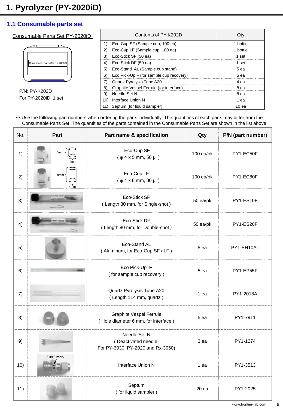#### Consumable Parts Set PY-2020iD

| Consumable Parts Set PY-2020iD |
|--------------------------------|
|                                |

P/N: PY-K202D For PY-2020iD, 1 set

| Contents of PY-K202D                              |          |
|---------------------------------------------------|----------|
| Eco-Cup SF (Sample cup, 100 ea)                   | 1 hottle |
| Eco-Cup LF (Sample cup, 100 ea)                   | 1 bottle |
| Eco-Stick SF (50 ea)                              | 1 set    |
| Eco-Stick DF (50 ea)                              | 1 set    |
| Eco-Stand AL (Sample cup stand)<br>5 <sup>2</sup> | 5 ea     |
| Eco Pick-Up F (for sample cup recovery)<br>6)     | 5 ea     |
| Quartz Pyrolysis Tube A20                         | 4 еа     |
| Graphite Vespel Ferrule (for interface)           | 8 ea     |
| Needle Set N<br>9)                                | 8 ea     |
| Interface Union N                                 | ea       |
| Septum (for liquid sampler)                       | 10 еа    |

| No. | Part               | Part name & specification                                                 | Qty         | P/N (part number) |
|-----|--------------------|---------------------------------------------------------------------------|-------------|-------------------|
| 1)  | 5mm                | Eco-Cup SF<br>$(\varphi$ 4 x 5 mm, 50 µl)                                 | $100$ ea/pk | PY1-EC50F         |
| 2)  | 8mm·               | Eco-Cup LF<br>$(\varphi 4 \times 8 \text{ mm}, 80 \text{ µ})$             | $100$ ea/pk | PY1-EC80F         |
| 3)  |                    | Eco-Stick SF<br>(Length 30 mm, for Single-shot)                           | 50 ea/pk    | PY1-ES10F         |
| 4)  | <b>NATIONALISM</b> | Eco-Stick DF<br>(Length 80 mm, for Double-shot)                           | 50 ea/pk    | PY1-ES20F         |
| 5)  |                    | Eco-Stand AL<br>(Aluminum, for Eco-Cup SF / LF)                           | 5 ea        | PY1-EH10AL        |
| 6)  |                    | Eco Pick-Up F<br>(for sample cup recovery)                                | 5 ea        | PY1-EP55F         |
| 7)  |                    | Quartz Pyrolysis Tube A20<br>(Length 114 mm, quartz)                      | 1 ea        | PY1-2018A         |
| 8)  |                    | <b>Graphite Vespel Ferrule</b><br>(Hole diameter 6 mm, for interface)     | 5 ea        | PY1-7911          |
| 9)  |                    | Needle Set N<br>(Deactivated needle,<br>For PY-3030, PY-2020 and Rx-3050) | 3 ea        | PY1-1274          |
| 10) | " 08 " mark        | Interface Union N                                                         | 1 ea        | PY1-3513          |
| 11) |                    | Septum<br>(for liquid sampler)                                            | 20 ea       | PY1-2025          |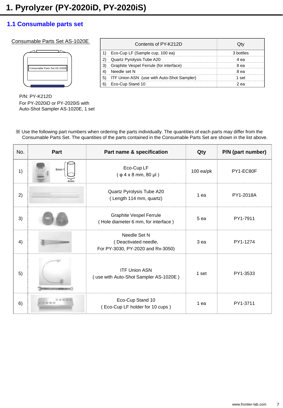#### Consumable Parts Set AS-1020E

| Consumable Parts Set AS-1020E |  |
|-------------------------------|--|
|                               |  |

| Contents of PY-K212D                              |           |
|---------------------------------------------------|-----------|
| Eco-Cup LF (Sample cup, 100 ea)                   | 3 hottles |
| Quartz Pyrolysis Tube A20                         | eа        |
| Graphite Vespel Ferrule (for interface)           | 8 еа      |
| Needle set N                                      | 8 ea      |
| <b>ITF Union ASN</b> (use with Auto-Shot Sampler) | set       |
| Eco-Cup Stand 10                                  | еa        |

P/N: PY-K212D For PY-2020iD or PY-2020iS with Auto-Shot Sampler AS-1020E, 1 set

| No. | Part                               | Part name & specification                                                 | Qty             | P/N (part number) |
|-----|------------------------------------|---------------------------------------------------------------------------|-----------------|-------------------|
| 1)  | 8mm·                               | Eco-Cup LF<br>$(\varphi 4 \times 8 \text{ mm}, 80 \text{ µ})$             | $100$ ea/pk     | PY1-EC80F         |
| 2)  |                                    | Quartz Pyrolysis Tube A20<br>(Length 114 mm, quartz)                      | 1 ea            | PY1-2018A         |
| 3)  |                                    | <b>Graphite Vespel Ferrule</b><br>(Hole diameter 6 mm, for interface)     | 5 ea            | PY1-7911          |
| 4)  |                                    | Needle Set N<br>(Deactivated needle,<br>For PY-3030, PY-2020 and Rx-3050) | 3 <sub>ea</sub> | PY1-1274          |
| 5)  |                                    | <b>ITF Union ASN</b><br>(use with Auto-Shot Sampler AS-1020E)             | 1 set           | PY1-3533          |
| 6)  | <b>G G G G Y</b><br><b>TOUS GO</b> | Eco-Cup Stand 10<br>(Eco-Cup LF holder for 10 cups)                       | 1 ea            | PY1-3711          |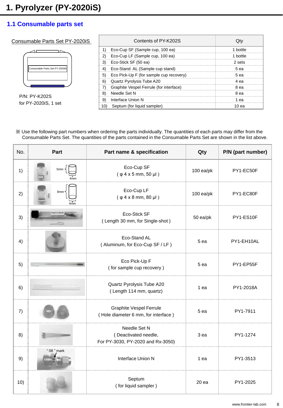#### Consumable Parts Set PY-2020iS

| Consumable Parts Set PY-2020iS |  |
|--------------------------------|--|
|                                |  |
|                                |  |

P/N: PY-K202S for PY-2020iS, 1 set

| Contents of PY-K202S                          |        |
|-----------------------------------------------|--------|
| Eco-Cup SF (Sample cup, 100 ea)               | hottle |
| Eco-Cup LF (Sample cup, 100 ea)<br>2)         | hottle |
| Eco-Stick SF (50 ea)                          | 2 sets |
| Eco-Stand AL (Sample cup stand)               | 5 еа   |
| Eco Pick-Up F (for sample cup recovery)<br>5) | 5 еа   |
| Quartz Pyrolysis Tube A20<br>6                | 4 еа   |
| Graphite Vespel Ferrule (for interface)       | 8 ea   |
| Needle Set N                                  | 8 ea   |
| Interface Union N                             | ea     |
| Septum (for liquid sampler)                   | 10 ea  |

| No. | Part        | Part name & specification                                                 | Qty         | P/N (part number) |  |
|-----|-------------|---------------------------------------------------------------------------|-------------|-------------------|--|
| 1)  | 5mm         | Eco-Cup SF<br>$(\varphi 4 \times 5 \text{ mm}, 50 \text{ µl})$            | $100$ ea/pk | PY1-EC50F         |  |
| 2)  | 8mm         | Eco-Cup LF<br>$(\varphi 4 x 8 mm, 80 \mu l)$                              | $100$ ea/pk | PY1-EC80F         |  |
| 3)  |             | Eco-Stick SF<br>(Length 30 mm, for Single-shot)                           | 50 ea/pk    | PY1-ES10F         |  |
| 4)  |             | Eco-Stand AL<br>(Aluminum, for Eco-Cup SF / LF)                           | 5 ea        | PY1-EH10AL        |  |
| 5)  |             | Eco Pick-Up F<br>(for sample cup recovery)                                | 5 ea        | PY1-EP55F         |  |
| 6)  |             | Quartz Pyrolysis Tube A20<br>(Length 114 mm, quartz)                      | 1 ea        | PY1-2018A         |  |
| 7)  |             | <b>Graphite Vespel Ferrule</b><br>(Hole diameter 6 mm, for interface)     | 5 ea        | PY1-7911          |  |
| 8)  |             | Needle Set N<br>(Deactivated needle,<br>For PY-3030, PY-2020 and Rx-3050) | 3 ea        | PY1-1274          |  |
| 9)  | " 08 " mark | Interface Union N                                                         | 1 ea        | PY1-3513          |  |
| 10) |             | Septum<br>(for liquid sampler)                                            | 20 ea       | PY1-2025          |  |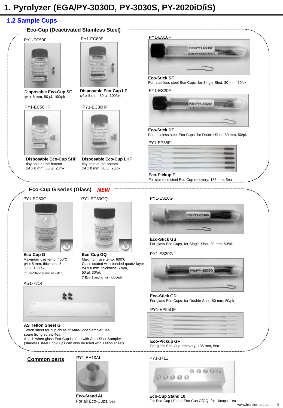## **1. Pyrolyzer (EGA/PY-3030D, PY-3030S, PY-2020iD/iS)**

## **1.2 Sample Cups**

#### **Eco-Cup (Deactivated Stainless Steel)**

#### PY1-EC50F



**Disposable Eco-Cup SF** φ4 x 8 mm, 50 µl, 100/pk

#### PY1-EC50HF



**Disposable Eco-Cup SHF** tiny hole at the bottom φ4 x 8 mm, 50 µl, 20/pk



**Disposable Eco-Cup LF** φ4 x 8 mm, 80 µl, 100/pk

#### PY1-EC80HF



**Disposable Eco-Cup LHF** tiny hole at the bottom φ4 x 8 mm, 80 µl, 20/pk

PY1-EC50GQ

**Eco-Cup GQ**

50 µl, 30/pk

Maximum use temp. 600℃ Glass coated with bonded quartz layer φ4 x 8 mm, thickness 5 mm,

(\* Eco-Stand is not included)

#### PY1-ES10F



#### **Eco-Stick SF**

For stainless steel Eco-Cups, for Single-Shot, 30 mm, 50/pk

#### PY1-ES20F



#### **Eco-Stick DF**

For stainless steel Eco-Cups, for Double-Shot, 80 mm, 50/pk

#### PY1-EP55F

#### **Eco-Pickup F**

For stainless steel Eco-Cup recovery, 135 mm, 5ea



## PY1-EC50G



**Eco-Cup G** Maximum use temp. 450℃ φ4 x 8 mm, thickness 5 mm, 50 µl, 100/pk (\* Eco-Stand is not included)

#### AS1-7814



#### **AS Teflon Sheet G**

Teflon sheet for cup chute of Auto-Shot Sampler 3ea, spare fixing screw 4ea Attach when glass Eco-Cup is used with Auto-Shot Sampler (stainless steel Eco-Cups can also be used with Teflon sheet)

#### **Common parts**

#### PY1-EH10AL



**Eco-Stand AL** For all Eco-Cups, 5ea





#### **Eco-Stick GS**

For glass Eco-Cups, for Single-Shot, 30 mm, 50/pk

PY1-ES20G



#### **Eco-Stick GD** For glass Eco-Cups, for Double-Shot, 80 mm, 50/pk

#### PY1-EP55GF



#### **Eco-Pickup GF**

For glass Eco-Cup recovery, 135 mm, 5ea

#### PY1-3711



**Eco-Cup Stand 10** For Eco-Cup LF and Eco-Cup G/GQ, for 10cups, 1ea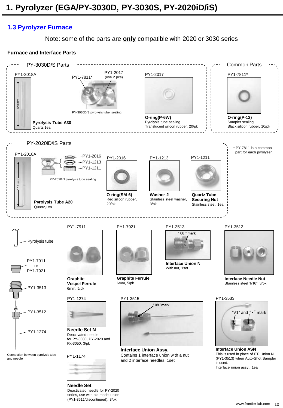## **1.3 Pyrolyzer Furnace**

Note: some of the parts are **only** compatible with 2020 or 3030 series

## **Furnace and Interface Parts**



series, use with old model union (PY1-3511/discontinued), 3/pk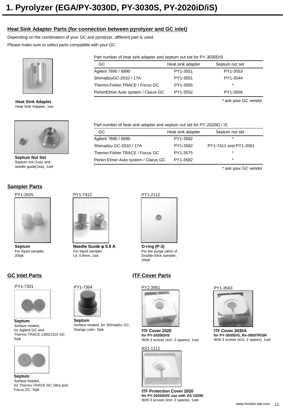#### **Heat Sink Adapter Parts (for connection between pyrolyzer and GC inlet)**

Depending on the combination of your GC and pyrolyzer, different part is used.

Please make sure to select parts compatible with your GC.



**Heat Sink Adapter** Heat Sink Adapter, 1ea



**Septum Nut Set** Septum nut (1ea) and needle guide(1ea), 1set

#### **Sampler Parts**

PY1-2025



**Septum** For liquid sampler, 20/pk

## **GC Inlet Parts**

PY1-7301



**Septum**  Surface treated, for Agilent GC and Thermo TRACE 1300/1310 GC 5/pk



**Septum**  Surface treated, for Thermo TRACE GC Ultra and Focus GC, 5/pk

Part number of heat sink adapter and septum nut set for PY-3030D/S

| GC.                                 | Heat sink adapter | Septum nut set |
|-------------------------------------|-------------------|----------------|
| Agilent 7890 / 6890                 | PY1-3551          | PY1-3553       |
| ShimadzuGC-2010 / 17A               | PY1-3551          | PY1-3544       |
| Thermo Fisher TRACE / Focus GC      | PY1-3555          | $\star$        |
| PerkinElmer Auto system / Clarus GC | PY1-3552          | PY1-3556       |

\* ask your GC vendor

Part number of heat sink adapter and septum nut set for PY-2020iD / iS

| GC.                                  | Heat sink adapter | Septum nut set        |
|--------------------------------------|-------------------|-----------------------|
| Agilent 7890 / 6890                  | PY1-3582          | $\star$               |
| Shimadzu GC-2010 / 17A               | PY1-3582          | PY1-7411 and PY1-3581 |
| Thermo Fisher TRACE / Focus GC       | PY1-3575          | ÷                     |
| Perkin Elmer Auto system / Clarus GC | PY1-3582          | $\ast$                |

\* ask your GC vendor



**Needle Guide φ 0.8 A** For liquid sampler i.d. 0.8mm, 1ea

PY1-7304

**Septum** 

Orange color, 5/pk

Surface treated, for Shimadzu GC,



**O-ring (P-3)** For the purge valve of Double-Shot sampler, 20/pk

## **ITF Cover Parts**



**ITF Cover 2020 for PY-2020iD/iS** With 3 screws (incl. 2 spares), 1set

#### AS1-1111



**ITF Protection Cover 2020 for PY-2020iD/iS use with AS-1020E** With 3 screws (incl. 2 spares), 1set





**ITF Cover 3030A for PY-3030D/S, Rx-3050TR/SR** With 3 screws (incl. 2 spares), 1set

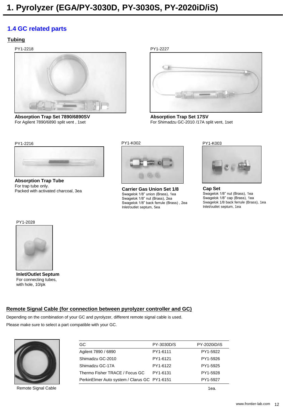## **1.4 GC related parts**

#### **Tubing**

PY1-2218



**Absorption Trap Set 7890/6890SV** For Agilent 7890/6890 split vent , 1set





**Absorption Trap Set 17SV** For Shimadzu GC-2010 /17A split vent, 1set



**Absorption Trap Tube**  For trap tube only. Packed with activated charcoal, 3ea



**Carrier Gas Union Set 1/8** Swagelok 1/8" union (Brass), 1ea Swagelok 1/8" nut (Brass), 2ea Swagelok 1/8" back ferrule (Brass) , 2ea Inlet/outlet septum, 5ea



**Cap Set** Swagelok 1/8" nut (Brass), 1ea Swagelok 1/8" cap (Brass), 1ea Swagelok 1/8 back ferrule (Brass), 1ea Inlet/outlet septum, 1ea



**Inlet/Outlet Septum** For connecting tubes, with hole, 10/pk

### **Remote Signal Cable (for connection between pyrolyzer controller and GC)**

Depending on the combination of your GC and pyrolyzer, different remote signal cable is used. Please make sure to select a part compatible with your GC.



Remote Signal Cable

| GC.                                           | PY-3030D/S | PY-2020iD/iS |
|-----------------------------------------------|------------|--------------|
| Agilent 7890 / 6890                           | PY1-6111   | PY1-5922     |
| Shimadzu GC-2010                              | PY1-6121   | PY1-5926     |
| Shimadzu GC-17A                               | PY1-6122   | PY1-5925     |
| Thermo Fisher TRACE / Focus GC                | PY1-6131   | PY1-5928     |
| Perkin Elmer Auto system / Clarus GC PY1-6151 |            | PY1-5927     |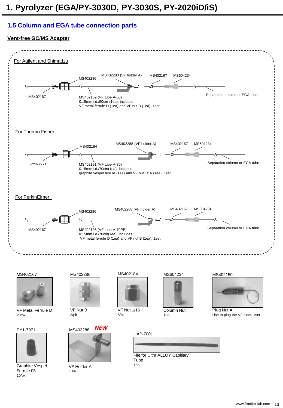## **1.5 Column and EGA tube connection parts**

#### **Vent-free GC/MS Adapter**



MS402167



VF Metal Ferrule D 20/pk

PY1-7971



Graphite Vespel Ferrule 05 10/pk



VF Nut B 3/pk



VF Holder A 1 ea

MS402184



VF Nut 1/16 5/pk





Column Nut 1ea





Plug Nut A Use to plug the VF tube、1set



File for Ultra ALLOY Capillary Tube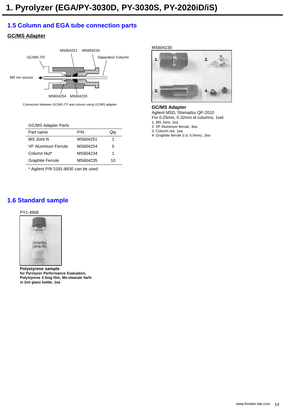## **1.5 Column and EGA tube connection parts**

## **GC/MS Adapter**



Connection between GC/MS ITF and column using GC/MS adapter

#### GC/MS Adapter Parts

| Part name                  | P/N      | Qtv |
|----------------------------|----------|-----|
| MS Joint N                 | MS604251 | 1   |
| <b>VF Aluminum Ferrule</b> | MS604254 | 5   |
| Column Nut*                | MS604234 | 1   |
| <b>Graphite Ferrule</b>    | MS604235 | 10  |
|                            |          |     |

\* Agilent P/N 5181-8830 can be used

MS604230



**GC/MS Adapter** Agilent MSD, Shimadzu QP-2010

For 0.25mm, 0.32mm id columns, 1set

1. MS Joint, 1ea

2. VF Aluminum ferrule, 3ea

3. Column nut, 1ea

4. Graphite ferrule (i.d. 0.5mm), 2ea

## **1.6 Standard sample**

#### PY1-4908



**Polystyrene sample for Pyrolyzer Performance Evaluation, Polystyrene 2.5mg film, Me-stearate 5w% in 2ml glass bottle, 1ea**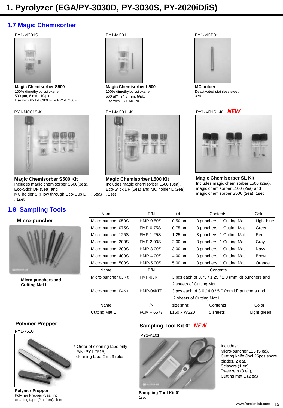## **1.7 Magic Chemisorber**

#### PY1-MC01S



**Magic Chemisorber S500** 100% dimethylpolysiloxane, 500 µm, 6 mm, 10/pk, Use with PY1-EC80HF or PY1-EC80F

#### PY1-MC01S-K



**Magic Chemisorber S500 Kit** Includes magic chemisorber S500(3ea), Eco-Stick DF (5ea) and MC holder S (Flow through Eco-Cup LHF, 5ea) , 1set

## **1.8 Sampling Tools**

#### **Micro-puncher**



**Micro-punchers and Cutting Mat L**

#### PY1-MC01L



**Magic Chemisorber L500** 100% dimethylpolysiloxane, 500 µm, 34.5 mm, 5/pk, Use with PY1-MCP01

#### PY1-MC01L-K



**Magic Chemisorber L500 Kit** Includes magic chemisorber L500 (3ea), Eco-Stick DF (5ea) and MC holder L (2ea) , 1set

#### PY1-MCP01



**MC holder L** Deactivated stainless steel, 3ea

#### PY1-M01SL-K *NEW*



**Magic Chemisorber SL Kit** Includes magic chemisorber L500 (2ea), magic chemisorber L100 (2ea) and magic chemisorber S500 (2ea), 1set

| Name                | P/N              | i.d.                                | Contents                                             | Color        |  |
|---------------------|------------------|-------------------------------------|------------------------------------------------------|--------------|--|
| Micro-puncher 050S  | HMP-0.50S        | $0.50$ mm                           | 3 punchers, 1 Cutting Mat L                          | Light blue   |  |
| Micro-puncher 075S  | <b>FMP-0.75S</b> | $0.75$ mm                           | 3 punchers, 1 Cutting Mat L                          | Green        |  |
| Micro-puncher 125S  | <b>FMP-1.25S</b> | 1.25mm                              | 3 punchers, 1 Cutting Mat L                          | Red          |  |
| Micro-puncher 200S  | <b>FMP-2.00S</b> | 2.00 <sub>mm</sub>                  | 3 punchers, 1 Cutting Mat L                          | Gray         |  |
| Micro-puncher 300S  | HMP-3.00S        | 3.00 <sub>mm</sub>                  | 3 punchers, 1 Cutting Mat L                          | Navy         |  |
| Micro-puncher 400S  | HMP-4.00S        | 4.00mm                              | 3 punchers, 1 Cutting Mat L                          | <b>Brown</b> |  |
| Micro-puncher 500S  | HMP-5.00S        | 5.00 <sub>mm</sub>                  | 3 punchers, 1 Cutting Mat L                          | Orange       |  |
| Name                | P/N              | Contents                            |                                                      |              |  |
| Micro-puncher 03Kit | FMP-03KIT        |                                     | 3 pcs each of 0.75 / 1.25 / 2.0 (mm id) punchers and |              |  |
|                     |                  |                                     | 2 sheets of Cutting Mat L                            |              |  |
| Micro-puncher 04Kit | HMP-04KIT        |                                     | 3 pcs each of 3.0 / 4.0 / 5.0 (mm id) punchers and   |              |  |
|                     |                  | 2 sheets of Cutting Mat L           |                                                      |              |  |
| Name                | P/N              | size(mm)                            | Contents                                             | Color        |  |
| Cutting Mat L       | $FCM - 6577$     | L <sub>150</sub> x W <sub>220</sub> | 5 sheets                                             | Light green  |  |

#### **Polymer Prepper**

PY1-7510



**Polymer Prepper**  Polymer Prepper (3ea) incl. cleaning tape (2m, 1ea), 1set

Order of cleaning tape only P/N:PY1-7515, cleaning tape 2 m, 3 roles

#### **Sampling Tool Kit 01** *NEW*

#### PY1-K101



**Sampling Tool Kit 01** 1set

Includes: Micro-puncher 125 (5 ea), Cutting knife (incl.25pcs spare blades, 2 ea), Scissors (1 ea), Tweezers (3 ea), Cutting mat L (2 ea)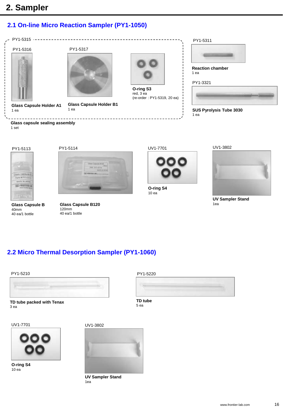## **2. Sampler**

## **2.1 On-line Micro Reaction Sampler (PY1-1050)**



**Glass capsule sealing assembly** 1 set









UV1-7701



**O-ring S4** 10 ea

UV1-3802



**UV Sampler Stand** 1ea

120mm 40 ea/1 bottle

**2.2 Micro Thermal Desorption Sampler (PY1-1060)**

**Glass Capsule B120**



**TD tube packed with Tenax**  3 ea

UV1-7701



**O-ring S4** 10 ea





**UV Sampler Stand** 1ea



**TD tube**  5 ea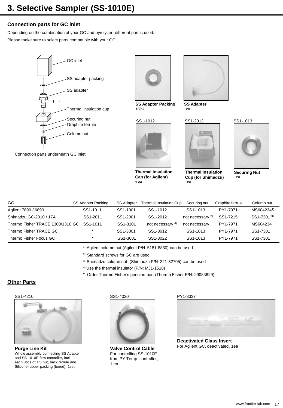## **Connection parts for GC inlet**

Depending on the combination of your GC and pyrolyzer, different part is used.

Please make sure to select parts compatible with your GC.





**SS Adapter Packing** 10/pk

SS1-1012



**Thermal Insulation Cap (for Agilent) 1 ea**



**SS Adapter** 1ea

SS1-2012

**Thermal Insulation Cup (for Shimadzu)**

1ea





**Securing Nut** 1ea

|         |                                                                     |                                                       | Securing nut           |                                              | Column nut       |
|---------|---------------------------------------------------------------------|-------------------------------------------------------|------------------------|----------------------------------------------|------------------|
|         |                                                                     | SS1-1012                                              | SS1-1013               | PY1-7971                                     | MS6042341)       |
|         |                                                                     | SS1-2012                                              |                        | SS1-7215                                     | SS1-7201 3)      |
|         | SS1-3101                                                            | not necessary 4)                                      |                        | PY1-7971                                     | MS604234         |
|         |                                                                     | SS1-3012                                              | SS1-1013               | PY1-7971                                     | SS1-7301         |
| $\star$ | SS1-3001                                                            | SS1-3022                                              | SS1-1013               | PY1-7971                                     | SS1-7301         |
|         | SS Adapter Packing<br>SS1-1011<br>SS1-2011<br>SS <sub>1</sub> -1011 | <b>SS Adapter</b><br>SS1-1001<br>SS1-2001<br>SS1-3001 | Thermal Insulation Cup | not necessary <sup>2)</sup><br>not necessary | Graphite ferrule |

1) Agilent column nut (Agilent P/N:5181-8830) can be used

2) Standard screws for GC are used

3) Shimadzu column nut (Shimadzu P/N:221-32705) can be used

4) Use the thermal insulator (P/N: MJ1-1518)

\* Order Thermo Fisher's genuine part (Thermo Fisher P/N: 29033629)

### **Other Parts**

#### SS1-4210



**Purge Line Kit** Whole assembly connecting SS Adapter and SS-1010E flow controller, incl. each 3pcs of 1/8 nut, back ferrule and Silicone rubber packing (bored), 1set

SS1-4020



**Valve Control Cable** For controlling SS-1010E from PY Temp. controller, 1 ea

PY1-3337



**Deactivated Glass Insert**  For Agilent GC, deactivated, 1ea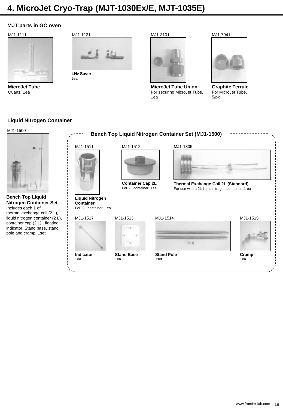## **4. MicroJet Cryo-Trap (MJT-1030Ex/E, MJT-1035E)**

#### **MJT parts in GC oven**

#### MJ1-1111



**MicroJet Tube** Quartz, 1ea



2ea





**MicroJet Tube Union**  For securing MicroJet Tube, 1ea





**Graphite Ferrule** For MicroJet Tube, 5/pk

#### **Liquid Nitrogen Container**

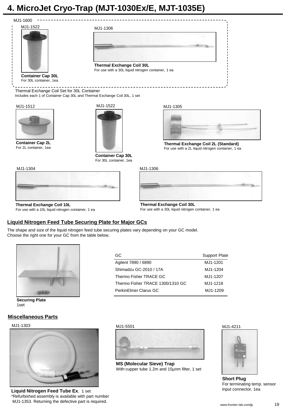## **4. MicroJet Cryo-Trap (MJT-1030Ex/E, MJT-1035E)**



**Thermal Exchange Coil 10L** For use with a 10L liquid nitrogen container, 1 ea

#### **Liquid Nitrogen Feed Tube Securing Plate for Major GCs**

The shape and size of the liquid nitrogen feed tube securing plates vary depending on your GC model. Choose the right one for your GC from the table below.



**Securing Plate** 1set

#### **Miscellaneous Parts**

#### MJ1-1303



**Liquid Nitrogen Feed Tube Ex**, 1 set \*Refurbished assembly is available with part number MJ1-1353. Returning the defective part is required.

![](_page_18_Picture_11.jpeg)

For use with a 30L liquid nitrogen container, 1 ea

![](_page_18_Picture_12.jpeg)

**MS (Molecular Sieve) Trap**  With cupper tube 1.2m and 15µnm filter, 1 set

MJ1-4211

![](_page_18_Picture_15.jpeg)

**Short Plug** For terminating temp. sensor input connector, 1ea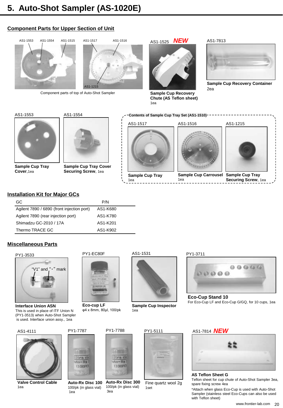## **Component Parts for Upper Section of Unit**

![](_page_19_Picture_2.jpeg)

Component parts of top of Auto-Shot Sampler

![](_page_19_Picture_4.jpeg)

AS1-1525 *NEW*

![](_page_19_Picture_6.jpeg)

**Sample Cup Recovery Chute (AS Teflon sheet)** 1ea

#### AS1-7813

![](_page_19_Picture_9.jpeg)

**Sample Cup Recovery Container** 2ea

![](_page_19_Picture_11.jpeg)

AS1-1554

**Sample Cup Tray Cover Securing Screw**, 1ea

![](_page_19_Picture_14.jpeg)

**Sample Cup Tray** 1ea

![](_page_19_Picture_16.jpeg)

**Sample Cup Carrousel Sample Cup Tray** 1ea

![](_page_19_Picture_18.jpeg)

**Securing Screw**, 1ea

#### **Installation Kit for Major GCs**

| GC.                                        | P/N      |  |
|--------------------------------------------|----------|--|
| Agilent 7890 / 6890 (front injection port) | AS1-K680 |  |
| Agilent 7890 (rear injection port)         | AS1-K780 |  |
| Shimadzu GC-2010 / 17A                     | AS1-K201 |  |
| Thermo TRACE GC                            | AS1-K902 |  |

PY1-7787

100/pk (in glass vial)

ltra ci

 $1to-Rx$ 

 $(100P<sup>2</sup>)$ 

1ea

#### **Miscellaneous Parts**

**Sample Cup Tray Cover**,1ea

![](_page_19_Picture_23.jpeg)

**Interface Union ASN** This is used in place of ITF Union N (PY1-3513) when Auto-Shot Sampler is used. Interface union assy., 1ea

![](_page_19_Picture_25.jpeg)

![](_page_19_Picture_26.jpeg)

**Valve Control Cable**  1ea

![](_page_19_Picture_28.jpeg)

**Eco-cup LF** φ4 x 8mm, 80µl, 100/pk

![](_page_19_Picture_30.jpeg)

![](_page_19_Picture_31.jpeg)

**Sample Cup Inspector** 1ea

PY1-3711

![](_page_19_Picture_34.jpeg)

**Eco-Cup Stand 10** For Eco-Cup LF and Eco-Cup G/GQ, for 10 cups, 1ea

#### *NEW* AS1-7814

![](_page_19_Picture_37.jpeg)

#### **AS Teflon Sheet G**

Teflon sheet for cup chute of Auto-Shot Sampler 3ea, spare fixing screw 4ea

\*Attach when glass Eco-Cup is used with Auto-Shot Sampler (stainless steel Eco-Cups can also be used with Teflon sheet)

 $(100P<sup>2</sup>)$ **Auto-Rx Disc 100**

PY1-7788

ite.

**Auto-Rx Disc 300** 100/pk (in glass vial) 3ea

![](_page_19_Picture_44.jpeg)

![](_page_19_Picture_45.jpeg)

![](_page_19_Picture_47.jpeg)

![](_page_19_Picture_48.jpeg)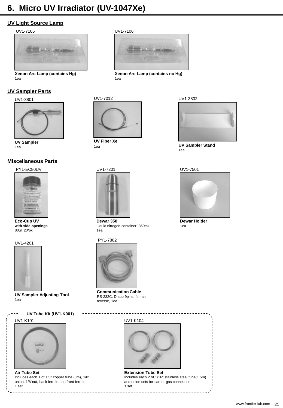## **6. Micro UV Irradiator (UV-1047Xe)**

## **UV Light Source Lamp**

#### UV1-7105

![](_page_20_Picture_3.jpeg)

**Xenon Arc Lamp (contains Hg)** 1ea

#### **UV Sampler Parts**

UV1-3801

![](_page_20_Picture_7.jpeg)

**UV Sampler** 1ea

#### **Miscellaneous Parts**

PY1-EC80UV

![](_page_20_Picture_11.jpeg)

**Eco-Cup UV with side openings** 80µl, 20/pk

![](_page_20_Picture_13.jpeg)

![](_page_20_Picture_14.jpeg)

**UV Sampler Adjusting Tool** 1ea

## **UV Tube Kit (UV1-K001)**

![](_page_20_Picture_17.jpeg)

![](_page_20_Picture_18.jpeg)

**Air Tube Set** Includes each 1 of 1/8" copper tube (3m), 1/8" union, 1/8"nut, back ferrule and front ferrule, 1 set

#### UV1-7106

![](_page_20_Picture_21.jpeg)

**Xenon Arc Lamp (contains no Hg)** 1ea

![](_page_20_Picture_23.jpeg)

**UV Fiber Xe** 1ea

# UV1-7201

![](_page_20_Picture_26.jpeg)

**Dewar 350** Liquid nitrogen container, 350ml, 1ea

#### PY1-7802

![](_page_20_Picture_29.jpeg)

**Communication Cable** RS-232C, D-sub 9pins, female, reverse, 1ea

UV1-K104

![](_page_20_Picture_32.jpeg)

**Extension Tube Set** Includes each 2 of 1/16" stainless steel tube(1.5m) and union sets for carrier gas connection 1 set

![](_page_20_Picture_34.jpeg)

![](_page_20_Picture_35.jpeg)

**UV Sampler Stand** 1ea

#### UV1-7501

![](_page_20_Picture_38.jpeg)

**Dewar Holder** 1ea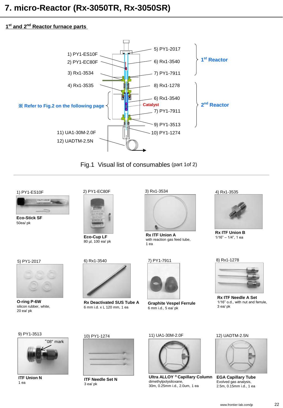#### **1 st and 2nd Reactor furnace parts**

![](_page_21_Figure_2.jpeg)

![](_page_21_Figure_3.jpeg)

1) PY1-ES10F

**Eco-Stick SF**  50ea/ pk

![](_page_21_Picture_6.jpeg)

**Eco-Cup LF**

![](_page_21_Picture_8.jpeg)

80 µl, 100 ea/ pk

6) Rx1-3540

10) PY1-1274

**ITF Needle Set N**

3 ea/ pk

![](_page_21_Picture_10.jpeg)

**O-ring P-6W**  silicon rubber, white, 20 ea/ pk

9) PY1-3513

![](_page_21_Picture_13.jpeg)

**ITF Union N** 1 ea

![](_page_21_Picture_15.jpeg)

**Rx Deactivated SUS Tube A** 6 mm i.d. x L 120 mm, 1 ea

![](_page_21_Picture_18.jpeg)

**Rx ITF Union A** with reaction gas feed tube, 1 ea

![](_page_21_Picture_20.jpeg)

![](_page_21_Picture_21.jpeg)

**Graphite Vespel Ferrule** 6 mm i.d., 5 ea/ pk

#### 11) UA1-30M-2.0F

![](_page_21_Picture_24.jpeg)

**Ultra ALLOY ® Capillary Column EGA Capillary Tube**  dimethylpolysiloxane, 30m, 0.25mm i.d., 2.0um, 1 ea

4) Rx1-3535

![](_page_21_Picture_27.jpeg)

**Rx ITF Union B**  1/16" – 1/4", 1 ea

#### 8) Rx1-1278

![](_page_21_Picture_30.jpeg)

**Rx ITF Needle A Set** 1/16" o.d., with nut and ferrule, 3 ea/ pk

#### 12) UADTM-2.5N

![](_page_21_Picture_33.jpeg)

Evolved gas analysis, 2.5m, 0.15mm i.d., 1 ea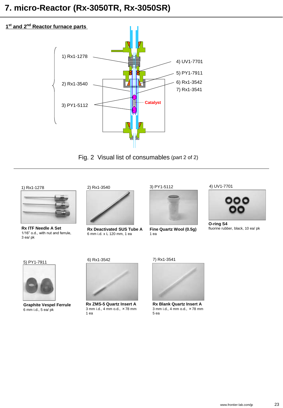![](_page_22_Figure_1.jpeg)

Fig. 2 Visual list of consumables (part 2 of 2)

#### 1) Rx1-1278

![](_page_22_Picture_4.jpeg)

1/16" o.d., with nut and ferrule, 3 ea/ pk

#### 2) Rx1-3540

![](_page_22_Picture_7.jpeg)

**Rx ITF Needle A Set Rx Deactivated SUS Tube A** Fine Quartz Wool (0.5g) fluorine rubber, black, 10 ea/ pk 6 mm i.d. x L 120 mm, 1 ea

![](_page_22_Picture_9.jpeg)

![](_page_22_Picture_10.jpeg)

**Fine Quartz Wool (0.5g)** 1 ea

![](_page_22_Picture_12.jpeg)

![](_page_22_Picture_13.jpeg)

**O-ring S4** fluorine rubber, black, 10 ea/ pk

#### 5) PY1-7911

![](_page_22_Picture_16.jpeg)

**Graphite Vespel Ferrule** 6 mm i.d., 5 ea/ pk

6) Rx1-3542

![](_page_22_Picture_19.jpeg)

**Rx ZMS-5 Quartz Insert A** 3 mm i.d., 4 mm o.d., ×78 mm 1 ea

7) Rx1-3541

![](_page_22_Picture_22.jpeg)

**Rx Blank Quartz Insert A** 3 mm i.d., 4 mm o.d., ×78 mm 5 ea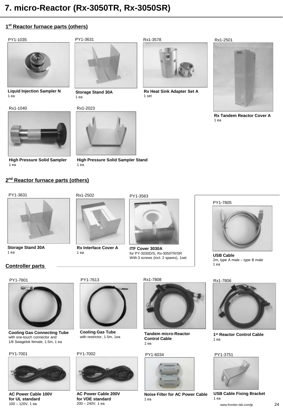## **1 st Reactor furnace parts (others)**

PY1-1035

![](_page_23_Picture_3.jpeg)

**Liquid Injection Sampler N** 1 ea

Rx1-1040

![](_page_23_Picture_6.jpeg)

**High Pressure Solid Sampler** 1 ea

![](_page_23_Picture_8.jpeg)

**Storage Stand 30A** 1 ea

#### Rx1-2023

![](_page_23_Picture_11.jpeg)

**High Pressure Solid Sampler Stand** 1 ea

Rx1-3578

![](_page_23_Picture_14.jpeg)

**Rx Heat Sink Adapter Set A** 1 set

![](_page_23_Picture_16.jpeg)

**Rx Tandem Reactor Cover A** 1 ea

**2 nd Reactor furnace parts (others)**

![](_page_23_Picture_19.jpeg)

![](_page_23_Picture_20.jpeg)

**Storage Stand 30A** 1 ea

![](_page_23_Picture_22.jpeg)

**Rx Interface Cover A** 1 ea

![](_page_23_Picture_24.jpeg)

PY1-3563

**ITF Cover 3030A**  for PY-3030D/S, Rx-3050TR/SR With 3 screws (incl. 2 spares), 1set

PY1-7805

![](_page_23_Picture_27.jpeg)

**USB Cable** 2m, type A male – type B male 1 ea

Rx1-7806

![](_page_23_Picture_30.jpeg)

**1 st Reactor Control Cable**  $1$  ea

#### PY1-3751

![](_page_23_Picture_33.jpeg)

**USB Cable Fixing Bracket** 1 ea

## **Controller parts**

PY1-7801

![](_page_23_Picture_38.jpeg)

**Cooling Gas Connecting Tube** with one-touch connector and 1/8 Swagelok female, 1.5m, 1 ea

PY1-7001

![](_page_23_Picture_41.jpeg)

**AC Power Cable 100V for UL standard** 100 – 120V, 1 ea

PY1-7613

![](_page_23_Picture_44.jpeg)

**Cooling Gas Tube** with restrictor, 1.5m, 1ea

#### PY1-7002

![](_page_23_Picture_47.jpeg)

**AC Power Cable 200V for VDE standard** 200 – 240V, 1 ea

Rx1-7808

![](_page_23_Picture_50.jpeg)

**Tandem micro-Reactor Control Cable** 1 ea

#### PY1-6034

![](_page_23_Picture_53.jpeg)

**Noise Filter for AC Power Cable** 1 ea

![](_page_23_Picture_55.jpeg)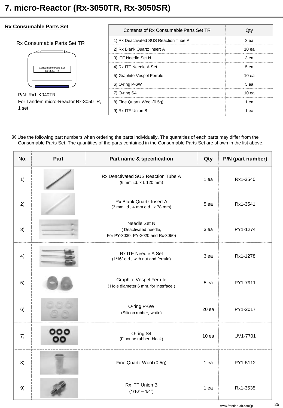## **Rx Consumable Parts Set**

#### Rx Consumable Parts Set TR

![](_page_24_Figure_3.jpeg)

P/N: Rx1-K040TR For Tandem micro-Reactor Rx-3050TR, 1 set

| Contents of Rx Consumable Parts Set TR |       |
|----------------------------------------|-------|
| 1) Rx Deactivated SUS Reaction Tube A  | 3 ea  |
| 2) Rx Blank Quartz Insert A            | 10 ea |
| 3) ITF Needle Set N                    | 3 ea  |
| 4) Rx ITF Needle A Set                 | .5 ea |
| 5) Graphite Vespel Ferrule             | 10 ea |
| $6)$ O-ring P-6W                       | 5 ea  |
| 7) O-ring S4                           | 10 ea |
| 8) Fine Quartz Wool (0.5g)             | 1 ea  |
| 9) Rx ITF Union B                      | eа    |

| No. | Part | Part name & specification                                                 | Qty              | P/N (part number) |
|-----|------|---------------------------------------------------------------------------|------------------|-------------------|
| 1)  |      | Rx Deactivated SUS Reaction Tube A<br>(6 mm i.d. x L 120 mm)              | 1 ea             | Rx1-3540          |
| 2)  |      | Rx Blank Quartz Insert A<br>(3 mm i.d., 4 mm o.d., x 78 mm)               | 5 ea             | Rx1-3541          |
| 3)  |      | Needle Set N<br>(Deactivated needle,<br>For PY-3030, PY-2020 and Rx-3050) | 3 ea             | PY1-1274          |
| 4)  |      | Rx ITF Needle A Set<br>(1/16" o.d., with nut and ferrule)                 | 3 ea             | Rx1-1278          |
| 5)  |      | <b>Graphite Vespel Ferrule</b><br>(Hole diameter 6 mm, for interface)     | 5 ea             | PY1-7911          |
| 6)  |      | O-ring P-6W<br>(Silicon rubber, white)                                    | 20 ea            | PY1-2017          |
| 7)  |      | O-ring S4<br>(Fluorine rubber, black)                                     | 10 <sub>ea</sub> | UV1-7701          |
| 8)  |      | Fine Quartz Wool (0.5g)                                                   | 1 ea             | PY1-5112          |
| 9)  |      | Rx ITF Union B<br>$(1/16" - 1/4")$                                        | 1 ea             | Rx1-3535          |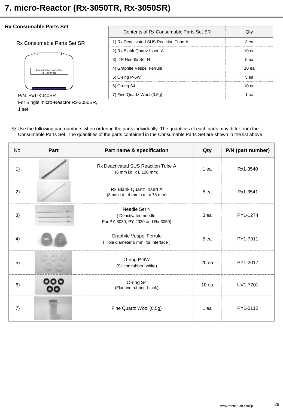#### **Rx Consumable Parts Set**

Rx Consumable Parts Set SR

![](_page_25_Figure_3.jpeg)

P/N: Rx1-K040SR For Single micro-Reactor Rx-3050SR, 1 set

| Contents of Rx Consumable Parts Set SR |                  |
|----------------------------------------|------------------|
| 1) Rx Deactivated SUS Reaction Tube A  | 3 ea             |
| 2) Rx Blank Quartz Insert A            | 10 <sub>ea</sub> |
| 3) ITF Needle Set N                    | 5 ea             |
| 4) Graphite Vespel Ferrule             | 10 <sub>ea</sub> |
| 5) O-ring P-6W                         | 5 ea             |
| 6) O-ring S4                           | 10 <sub>ea</sub> |
| 7) Fine Quartz Wool (0.5g)             |                  |

| No. | Part | Part name & specification                                                 | Qty              | P/N (part number) |
|-----|------|---------------------------------------------------------------------------|------------------|-------------------|
| 1)  |      | Rx Deactivated SUS Reaction Tube A<br>(6 mm i.d. x L 120 mm)              | 1 ea             | Rx1-3540          |
| 2)  |      | <b>Rx Blank Quartz Insert A</b><br>(3 mm i.d., 4 mm o.d., x 78 mm)        | 5 ea             | Rx1-3541          |
| 3)  |      | Needle Set N<br>(Deactivated needle,<br>For PY-3030, PY-2020 and Rx-3050) | 3 ea             | PY1-1274          |
| 4)  |      | <b>Graphite Vespel Ferrule</b><br>(Hole diameter 6 mm, for interface)     | 5 ea             | PY1-7911          |
| 5)  |      | O-ring P-6W<br>(Silicon rubber, white)                                    | 20 ea            | PY1-2017          |
| 6)  |      | O-ring S4<br>(Fluorine rubber, black)                                     | 10 <sub>ea</sub> | UV1-7701          |
| 7)  |      | Fine Quartz Wool (0.5g)                                                   | 1 ea             | PY1-5112          |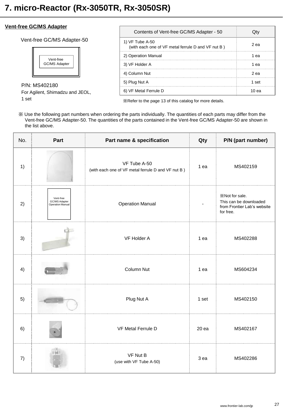#### **Vent-free GC/MS Adapter**

Vent-free GC/MS Adapter-50

![](_page_26_Picture_3.jpeg)

P/N: MS402180 For Agilent, Shimadzu and JEOL,

1 set

| Contents of Vent-free GC/MS Adapter - 50                              |       |
|-----------------------------------------------------------------------|-------|
| 1) VF Tube A-50<br>(with each one of VF metal ferrule D and VF nut B) | 2 еа  |
| 2) Operation Manual                                                   | 1 еа  |
| 3) VF Holder A                                                        | 1 еа  |
| 4) Column Nut                                                         | 2 ea  |
| 5) Plug Nut A                                                         | 1 set |
| 6) VF Metal Ferrule D                                                 | 10 ea |

※Refer to the page 13 of this catalog for more details.

※ Use the following part numbers when ordering the parts individually. The quantities of each parts may differ from the Vent-free GC/MS Adapter-50. The quantities of the parts contained in the Vent-free GC/MS Adapter-50 are shown in the list above.

| No. | Part                                           | Part name & specification                                          | Qty   | P/N (part number)                                                                    |
|-----|------------------------------------------------|--------------------------------------------------------------------|-------|--------------------------------------------------------------------------------------|
| 1)  |                                                | VF Tube A-50<br>(with each one of VF metal ferrule D and VF nut B) | 1 ea  | MS402159                                                                             |
| 2)  | Vent-free<br>GC/MS Adapter<br>Operation Manual | <b>Operation Manual</b>                                            |       | XNot for sale.<br>This can be downloaded<br>from Frontier Lab's website<br>for free. |
| 3)  |                                                | <b>VF Holder A</b>                                                 | 1 ea  | MS402288                                                                             |
| 4)  | <b>Littlette</b>                               | Column Nut                                                         | 1 ea  | MS604234                                                                             |
| 5)  |                                                | Plug Nut A                                                         | 1 set | MS402150                                                                             |
| 6)  |                                                | <b>VF Metal Ferrule D</b>                                          | 20 ea | MS402167                                                                             |
| 7)  |                                                | VF Nut B<br>(use with VF Tube A-50)                                | 3 ea  | MS402286                                                                             |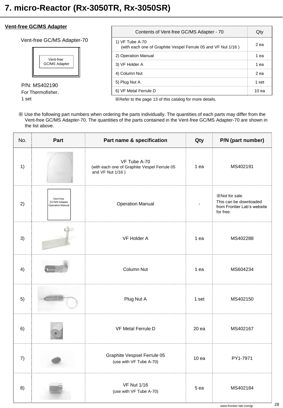#### **Vent-free GC/MS Adapter**

Vent-free GC/MS Adapter-70

![](_page_27_Figure_3.jpeg)

P/N: MS402190 For Thermofisher,

1 set

| Contents of Vent-free GC/MS Adapter - 70                                         |       |
|----------------------------------------------------------------------------------|-------|
| 1) VF Tube A-70<br>(with each one of Graphite Vespel Ferrule 05 and VF Nut 1/16) | 2 ea  |
| 2) Operation Manual                                                              | eа    |
| 3) VF Holder A                                                                   | ea    |
| 4) Column Nut                                                                    | 2 ea  |
| 5) Plug Nut A                                                                    | 1 set |
| 6) VF Metal Ferrule D                                                            | 10 еа |

※Refer to the page 13 of this catalog for more details.

※ Use the following part numbers when ordering the parts individually. The quantities of each parts may differ from the Vent-free GC/MS Adapter-70. The quantities of the parts contained in the Vent-free GC/MS Adapter-70 are shown in the list above.

| No. | Part                                                  | Part name & specification                                                        | Qty   | P/N (part number)                                                                    |
|-----|-------------------------------------------------------|----------------------------------------------------------------------------------|-------|--------------------------------------------------------------------------------------|
| 1)  |                                                       | VF Tube A-70<br>(with each one of Graphite Vespel Ferrule 05<br>and VF Nut 1/16) | 1 ea  | MS402191                                                                             |
| 2)  | Vent-free<br>GC/MS Adapter<br><b>Operation Manual</b> | <b>Operation Manual</b>                                                          |       | XNot for sale.<br>This can be downloaded<br>from Frontier Lab's website<br>for free. |
| 3)  |                                                       | VF Holder A                                                                      | 1 ea  | MS402288                                                                             |
| 4)  |                                                       | Column Nut                                                                       | 1 ea  | MS604234                                                                             |
| 5)  |                                                       | Plug Nut A                                                                       | 1 set | MS402150                                                                             |
| 6)  |                                                       | <b>VF Metal Ferrule D</b>                                                        | 20 ea | MS402167                                                                             |
| 7)  |                                                       | Graphite Vespsel Ferrule 05<br>(use with VF Tube A-70)                           | 10ea  | PY1-7971                                                                             |
| 8)  |                                                       | <b>VF Nut 1/16</b><br>(use with VF Tube A-70)                                    | 5 ea  | MS402184                                                                             |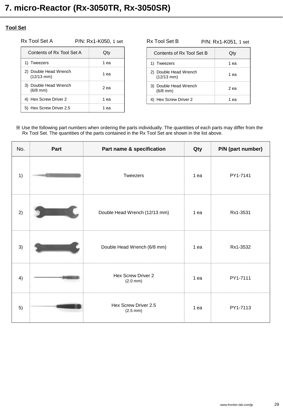#### **Tool Set**

Rx Tool Set A P/N: Rx1-K050, 1 set Rx Tool Set B

| Contents of Rx Tool Set A             |      |
|---------------------------------------|------|
| 1) Tweezers                           | 1 еа |
| 2) Double Head Wrench<br>$(12/13$ mm) | 1 еа |
| 3) Double Head Wrench<br>$(6/8$ mm)   | 2 еа |
| 4) Hex Screw Driver 2                 | 1 еа |
| 5) Hex Screw Driver 2.5               |      |

| Contents of Rx Tool Set B             |      |
|---------------------------------------|------|
| 1) Tweezers                           | 1 ea |
| 2) Double Head Wrench<br>$(12/13$ mm) | 1 еа |
| 3) Double Head Wrench<br>$(6/8$ mm)   | 2 еа |
| Hex Screw Driver 2                    | 1 еа |

P/N: Rx1-K051, 1 set

| No. | Part | Part name & specification                    | Qty  | P/N (part number) |
|-----|------|----------------------------------------------|------|-------------------|
| 1)  |      | Tweezers                                     | 1 ea | PY1-7141          |
| 2)  |      | Double Head Wrench (12/13 mm)                | 1 ea | Rx1-3531          |
| 3)  |      | Double Head Wrench (6/8 mm)                  | 1 ea | Rx1-3532          |
| 4)  |      | Hex Screw Driver 2<br>$(2.0 \, \text{mm})$   | 1 ea | PY1-7111          |
| 5)  |      | Hex Screw Driver 2.5<br>$(2.5 \, \text{mm})$ | 1 ea | PY1-7113          |